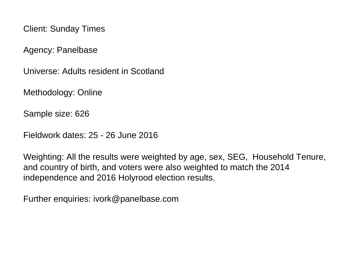Client: Sunday Times

Agency: Panelbase

Universe: Adults resident in Scotland

Methodology: Online

Sample size: 626

Fieldwork dates: 25 - 26 June 2016

Weighting: All the results were weighted by age, sex, SEG, Household Tenure, and country of birth, and voters were also weighted to match the 2014 independence and 2016 Holyrood election results.

Further enquiries: ivork@panelbase.com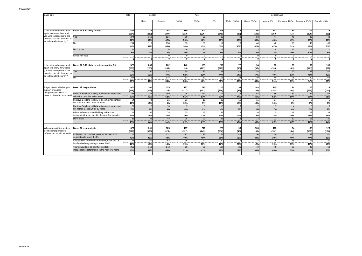| Base: 626                                                                                                                                         |                                                                                           | Total          | Gender       |                           | Age          |                |              | GenderXAge   |              |                |                |                |                |  |
|---------------------------------------------------------------------------------------------------------------------------------------------------|-------------------------------------------------------------------------------------------|----------------|--------------|---------------------------|--------------|----------------|--------------|--------------|--------------|----------------|----------------|----------------|----------------|--|
|                                                                                                                                                   |                                                                                           |                |              |                           |              |                |              |              |              |                |                |                |                |  |
|                                                                                                                                                   |                                                                                           |                | Male         | Female                    | 16-34        | 35-54          | $55+$        | Male x 16-34 | Male x 35-54 | Male $x 55+$   | Female x 16-34 | Female x 35-54 | Female x 55+   |  |
|                                                                                                                                                   |                                                                                           |                |              |                           |              |                |              |              |              |                |                |                |                |  |
| If the referendum was held<br>again tomorrow, how would<br>you vote in response to the<br>question: Should Scotland be<br>an independent country? | Base: All 8-10 likely to vote                                                             | 577<br>(584)   | 278<br>(287) | 298<br>(297)              | 159<br>(110) | 200<br>(226)   | 218<br>(248) | 79<br>(37)   | 96<br>(100)  | 103<br>(150)   | 80<br>(73)     | 104<br>(126)   | 115<br>(98)    |  |
|                                                                                                                                                   | Yes                                                                                       | 274            | 150          | 124                       | 89           | 96             | 89           | 49           | 53           | 47             | 40             | 42             | 42             |  |
|                                                                                                                                                   |                                                                                           | 47%            | 54%          | 42%                       | 56%          | 48%            | 41%          | 63%          | 56%          | 45%            | 49%            | 41%            | 37%            |  |
|                                                                                                                                                   | N٥                                                                                        | 254            | 116          | 138                       | 53           | 89             | 111          | 28           | 40           | 48             | 25             | 49             | 63             |  |
|                                                                                                                                                   |                                                                                           | 44%            | 42%          | 46%                       | 34%          | 45%            | 51%          | 36%          | 42%          | 47%            | 32%            | 48%            | 55%            |  |
|                                                                                                                                                   | Don't know                                                                                | 4 <sup>c</sup> | 12           | 36                        | 16           | 15             | 18           |              |              |                | 15             | 12             | 10             |  |
|                                                                                                                                                   |                                                                                           | 8%             | 4%           | 12%                       | 10%          | 7%             | 8%           | 2%           | 3%           | 8%             | 19%            | 12%            | 8%             |  |
|                                                                                                                                                   | Would not vote                                                                            |                |              |                           |              |                |              |              |              | $\Omega$       |                |                | $\mathbf{0}$   |  |
|                                                                                                                                                   |                                                                                           |                | O            | $\Omega$                  | $\Omega$     | $\Omega$       | $\Omega$     | O            |              | $\Omega$       | $\Omega$       | C              | $\Omega$       |  |
|                                                                                                                                                   | Base: All 8-10 likely to vote, exicuding DK                                               | 528            | 266          | 262                       | 142          | 185            | 200          | 77           | 94           | 95             | 65             | 92             | 105            |  |
| If the referendum was held<br>again tomorrow, how would<br>you vote in response to the<br>question: Should Scotland be<br>an independent country? |                                                                                           | (533)          | (270)        | (263)                     | (99)         | (207)          | (227)        | (36)         | (96)         | (138)          | (63)           | (111)          |                |  |
|                                                                                                                                                   | Yes                                                                                       | 274            | 150          | 124                       | 89           | 96             | 89           | 49           | 53           | 47             | 40             | 42             | (89)<br>42     |  |
|                                                                                                                                                   |                                                                                           | 52%            | 56%          | 47%                       | 62%          | 52%            | 44%          | 64%          | 57%          | 49%            | 61%            | 46%            | 40%            |  |
|                                                                                                                                                   | No                                                                                        | 254            | 116          | 138                       | 53           | 89             | 111          | 28           | 40           | 48             | 25             | 49             | 63             |  |
|                                                                                                                                                   |                                                                                           | 48%            | 44%          | 53%                       | 38%          | 48%            | 56%          | 36%          | 43%          | 51%            | 39%            | 54%            | 60%            |  |
|                                                                                                                                                   |                                                                                           |                |              |                           |              |                |              |              |              |                |                |                |                |  |
| Regardless of whether you<br>support or oppose<br>independence, which of<br>these is closest to your view?                                        | <b>Base: All respondents</b>                                                              | 626            | 301          | 325                       | 187          | 211            | 228          | 93           | 103          | 105            | 94             | 108            | 123            |  |
|                                                                                                                                                   |                                                                                           | (626)          | (303)        | (323)                     | (127)        | (243)          | (256)        | (43)         | (108)        | (152)          | (84)           | (135)          | (104)          |  |
|                                                                                                                                                   | believe Scotland is likely to become independent<br>within the next five to ten years     | 325            | 156          | 169                       | 96           | 111            | 117          | 43           | 58           | 55             | 53             | 54             | 62             |  |
|                                                                                                                                                   |                                                                                           | 52%            | 52%          | 52%                       | 51%          | 53%            | 52%          | 47%          | 56%          | 52%            | 56%            | 50%            | 51%            |  |
|                                                                                                                                                   | I believe Scotland is likely to become independent<br>but not for at least 10 or 15 years | 64             | 44           | 21                        | 23           | 19             | 22           | 16           | 11           | 17             |                |                | 5              |  |
|                                                                                                                                                   |                                                                                           | 10%            | 14%          | 6%                        | 12%          | 9%             | 10%          | 17%          | 10%          | 16%            | 8%             | 8%             | 4%             |  |
|                                                                                                                                                   | I believe Scotland is likely to become independent<br>but not for at least 20 or 30 years | 21             | 12           | 10                        |              | $\overline{a}$ | 10           |              |              | $\overline{7}$ |                |                | $\overline{3}$ |  |
|                                                                                                                                                   |                                                                                           | 3%             | 4%           | 3%                        | 4%           | 2%             | 4%           | 3%           | 1%           | 7%             | 4%             | 3%             | 2%             |  |
|                                                                                                                                                   | I don't believe Scotland is likely to become                                              | 129            | 52           | 78                        | 35           | 47             | 47           | 18           | 20           | 15             | 18             | 27             | 33             |  |
|                                                                                                                                                   | independent at any point in the next few decades                                          | 21%            | 17%          | 24%                       | 19%          | <b>22%</b>     | 21%          | 19%          | 19%          | 14%            | 19%            | 25%            | 27%            |  |
|                                                                                                                                                   | Don't know                                                                                | 86             | 38           | 48                        | 26           | 29             | 31           | 13           | 14           | 11             | 12             | 16             | 20             |  |
|                                                                                                                                                   |                                                                                           | 14%            | 13%          | 15%                       | 14%          | 14%            | 14%          | 14%          | 13%          | 10%            | 13%            | 15%            | 16%            |  |
|                                                                                                                                                   |                                                                                           |                |              |                           |              |                |              |              |              |                |                |                |                |  |
| When do you think another<br>Scottish independence<br>referendum should be held?                                                                  | <b>Base: All respondents</b>                                                              | 626<br>(626)   | 301<br>(303) | 325                       | 187          | 211<br>(243)   | 228          | 93           | 103          | 105            | 94             | 108            | 123            |  |
|                                                                                                                                                   |                                                                                           |                |              | (323)<br>$\overline{131}$ | (127)        |                | (256)        | (43)         | (108)        | (152)<br>40    | (84)           | (135)          | (104)<br>41    |  |
|                                                                                                                                                   | In the next two or three years, while the UK is<br>negotiating to leave the EU            | 271<br>43%     | 140<br>46%   | 40%                       | 92<br>49%    | 97<br>46%      | 81<br>36%    | 49<br>53%    | 50<br>49%    | 39%            | 43<br>46%      | 47<br>44%      | 33%            |  |
|                                                                                                                                                   | About two or three years from now, when the UK                                            | 103            | 51           | 52                        | 36           | 27             | 40           | 19           | 13           | 20             | 18             | 14             | 20             |  |
|                                                                                                                                                   | has finished negotiating to leave the EU                                                  | 17%            | 17%          | 16%                       | 19%          | 13%            | 17%          | 20%          | 12%          | 19%            | 19%            | 13%            | 16%            |  |
|                                                                                                                                                   | There should not be another Scottish                                                      | 252            | 110          | 142                       | 58           | 86             | 107          | 25           | 40           | 45             | 33             | 47             | 62             |  |
|                                                                                                                                                   | independence referendum in the next few years                                             | 40%            | 37%          | 44%                       | 31%          | 41%            | 47%          | 27%          | 39%          | 43%            | 35%            | 43%            | 50%            |  |
|                                                                                                                                                   |                                                                                           |                |              |                           |              |                |              |              |              |                |                |                |                |  |
|                                                                                                                                                   |                                                                                           |                |              |                           |              |                |              |              |              |                |                |                |                |  |